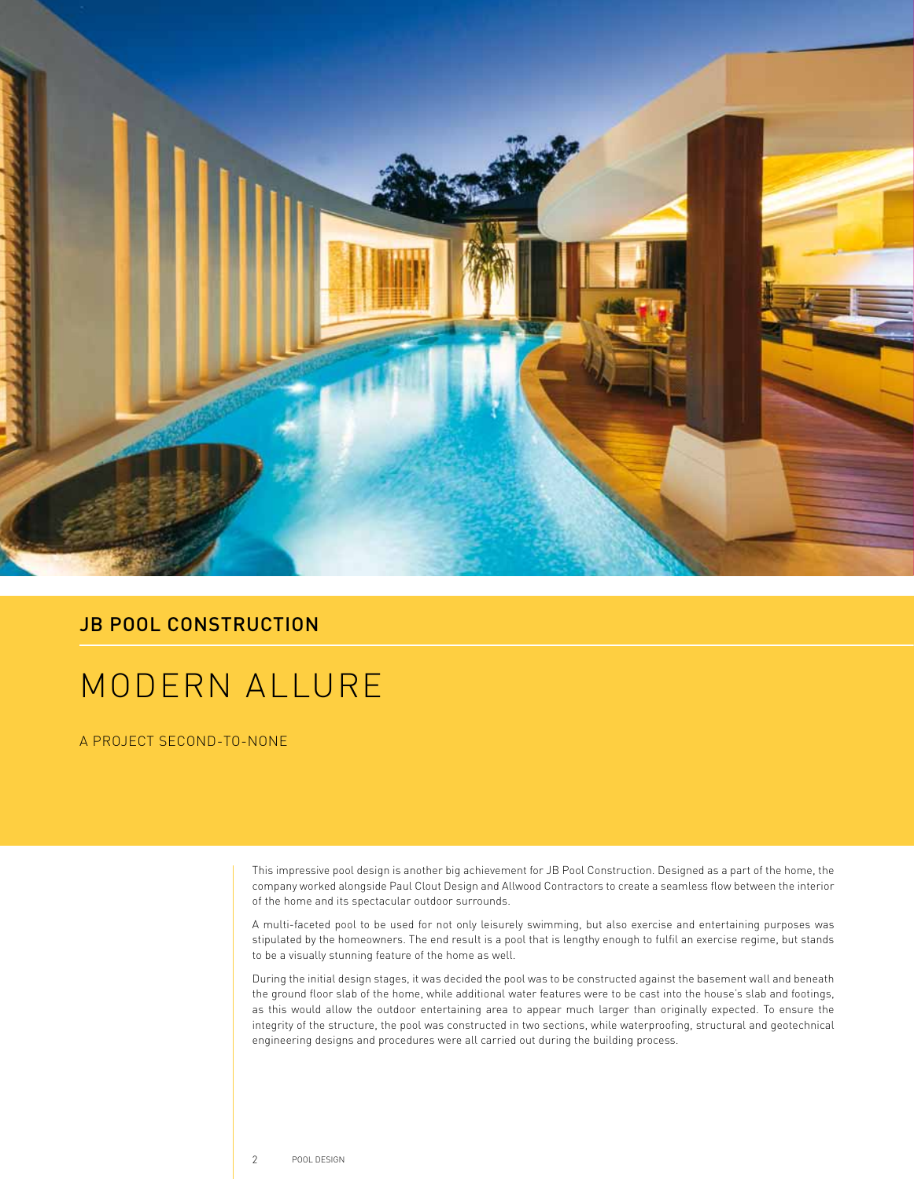

## **JB POOL CONSTRUCTION**

## MODERN ALLURE

A PROJECT SECOND-TO-NONE

This impressive pool design is another big achievement for JB Pool Construction. Designed as a part of the home, the company worked alongside Paul Clout Design and Allwood Contractors to create a seamless flow between the interior of the home and its spectacular outdoor surrounds.

A multi-faceted pool to be used for not only leisurely swimming, but also exercise and entertaining purposes was stipulated by the homeowners. The end result is a pool that is lengthy enough to fulfil an exercise regime, but stands to be a visually stunning feature of the home as well.

During the initial design stages, it was decided the pool was to be constructed against the basement wall and beneath the ground floor slab of the home, while additional water features were to be cast into the house's slab and footings, as this would allow the outdoor entertaining area to appear much larger than originally expected. To ensure the integrity of the structure, the pool was constructed in two sections, while waterproofing, structural and geotechnical engineering designs and procedures were all carried out during the building process.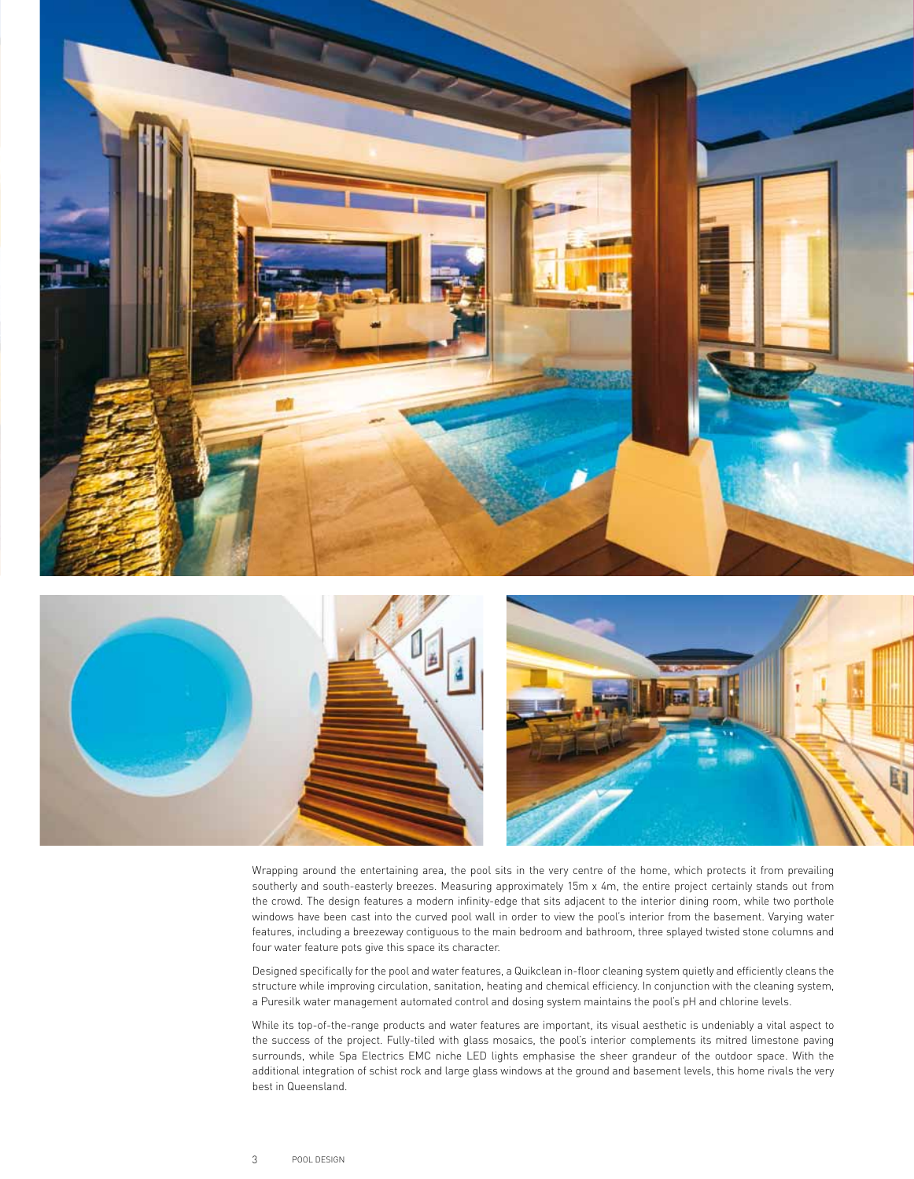



Wrapping around the entertaining area, the pool sits in the very centre of the home, which protects it from prevailing southerly and south-easterly breezes. Measuring approximately 15m x 4m, the entire project certainly stands out from the crowd. The design features a modern infinity-edge that sits adjacent to the interior dining room, while two porthole windows have been cast into the curved pool wall in order to view the pool's interior from the basement. Varying water features, including a breezeway contiguous to the main bedroom and bathroom, three splayed twisted stone columns and four water feature pots give this space its character.

Designed specifically for the pool and water features, a Quikclean in-floor cleaning system quietly and efficiently cleans the structure while improving circulation, sanitation, heating and chemical efficiency. In conjunction with the cleaning system, a Puresilk water management automated control and dosing system maintains the pool's pH and chlorine levels.

While its top-of-the-range products and water features are important, its visual aesthetic is undeniably a vital aspect to the success of the project. Fully-tiled with glass mosaics, the pool's interior complements its mitred limestone paving surrounds, while Spa Electrics EMC niche LED lights emphasise the sheer grandeur of the outdoor space. With the additional integration of schist rock and large glass windows at the ground and basement levels, this home rivals the very best in Queensland.